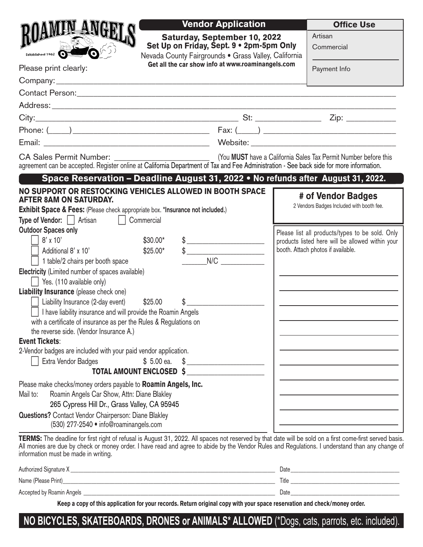|                                                                                                                                                                                                                                                                                                                                                                                                                                                                                                                                                                                                                  |                                                                                                                                         | <b>Vendor Application</b>                         |                       | <b>Office Use</b>                                                                                                                                                                                            |  |
|------------------------------------------------------------------------------------------------------------------------------------------------------------------------------------------------------------------------------------------------------------------------------------------------------------------------------------------------------------------------------------------------------------------------------------------------------------------------------------------------------------------------------------------------------------------------------------------------------------------|-----------------------------------------------------------------------------------------------------------------------------------------|---------------------------------------------------|-----------------------|--------------------------------------------------------------------------------------------------------------------------------------------------------------------------------------------------------------|--|
| Established 1962                                                                                                                                                                                                                                                                                                                                                                                                                                                                                                                                                                                                 | <b>Saturday, September 10, 2022</b><br>Set Up on Friday, Sept. 9 . 2pm-5pm Only<br>Nevada County Fairgrounds . Grass Valley, California |                                                   | Artisan<br>Commercial |                                                                                                                                                                                                              |  |
| Please print clearly:                                                                                                                                                                                                                                                                                                                                                                                                                                                                                                                                                                                            |                                                                                                                                         | Get all the car show info at www.roaminangels.com |                       | Payment Info                                                                                                                                                                                                 |  |
|                                                                                                                                                                                                                                                                                                                                                                                                                                                                                                                                                                                                                  |                                                                                                                                         |                                                   |                       |                                                                                                                                                                                                              |  |
|                                                                                                                                                                                                                                                                                                                                                                                                                                                                                                                                                                                                                  |                                                                                                                                         |                                                   |                       |                                                                                                                                                                                                              |  |
|                                                                                                                                                                                                                                                                                                                                                                                                                                                                                                                                                                                                                  |                                                                                                                                         |                                                   |                       |                                                                                                                                                                                                              |  |
|                                                                                                                                                                                                                                                                                                                                                                                                                                                                                                                                                                                                                  |                                                                                                                                         |                                                   |                       |                                                                                                                                                                                                              |  |
|                                                                                                                                                                                                                                                                                                                                                                                                                                                                                                                                                                                                                  |                                                                                                                                         |                                                   |                       |                                                                                                                                                                                                              |  |
|                                                                                                                                                                                                                                                                                                                                                                                                                                                                                                                                                                                                                  |                                                                                                                                         |                                                   |                       |                                                                                                                                                                                                              |  |
| <b>CA Sales Permit Number:</b><br>(You MUST have a California Sales Tax Permit Number before this<br>agreement can be accepted. Register online at California Department of Tax and Fee Administration - See back side for more information.                                                                                                                                                                                                                                                                                                                                                                     |                                                                                                                                         |                                                   |                       |                                                                                                                                                                                                              |  |
| Space Reservation - Deadline August 31, 2022 • No refunds after August 31, 2022.                                                                                                                                                                                                                                                                                                                                                                                                                                                                                                                                 |                                                                                                                                         |                                                   |                       |                                                                                                                                                                                                              |  |
| NO SUPPORT OR RESTOCKING VEHICLES ALLOWED IN BOOTH SPACE<br><b>AFTER 8AM ON SATURDAY.</b><br><b>Exhibit Space &amp; Fees:</b> (Please check appropriate box. *Insurance not included.)<br>  Commercial<br><b>Type of Vendor:</b>     Artisan<br><b>Outdoor Spaces only</b><br>$8' \times 10'$<br>Additional 8' x 10'<br>1 table/2 chairs per booth space<br>Electricity (Limited number of spaces available)<br>$\vert$ Yes. (110 available only)<br><b>Liability Insurance</b> (please check one)<br>Liability Insurance (2-day event) \$25.00<br>I have liability insurance and will provide the Roamin Angels | $$30.00*$<br>$$25.00*$<br>\$                                                                                                            | $\frac{1}{2}$<br>$\frac{1}{2}$<br>N/C             |                       | # of Vendor Badges<br>2 Vendors Badges Included with booth fee.<br>Please list all products/types to be sold. Only<br>products listed here will be allowed within your<br>booth. Attach photos if available. |  |
| with a certificate of insurance as per the Rules & Regulations on<br>the reverse side. (Vendor Insurance A.)                                                                                                                                                                                                                                                                                                                                                                                                                                                                                                     |                                                                                                                                         |                                                   |                       |                                                                                                                                                                                                              |  |
| <b>Event Tickets:</b><br>2-Vendor badges are included with your paid vendor application.                                                                                                                                                                                                                                                                                                                                                                                                                                                                                                                         |                                                                                                                                         |                                                   |                       |                                                                                                                                                                                                              |  |
| Extra Vendor Badges                                                                                                                                                                                                                                                                                                                                                                                                                                                                                                                                                                                              | $$5.00$ ea.                                                                                                                             |                                                   |                       |                                                                                                                                                                                                              |  |
|                                                                                                                                                                                                                                                                                                                                                                                                                                                                                                                                                                                                                  | <b>TOTAL AMOUNT ENCLOSED \$</b>                                                                                                         |                                                   |                       |                                                                                                                                                                                                              |  |
| Please make checks/money orders payable to Roamin Angels, Inc.<br>Roamin Angels Car Show, Attn: Diane Blakley<br>Mail to:<br>265 Cypress Hill Dr., Grass Valley, CA 95945<br><b>Questions?</b> Contact Vendor Chairperson: Diane Blakley<br>(530) 277-2540 · info@roaminangels.com                                                                                                                                                                                                                                                                                                                               |                                                                                                                                         |                                                   |                       |                                                                                                                                                                                                              |  |

TERMS: The deadline for first right of refusal is August 31, 2022. All spaces not reserved by that date will be sold on a first come-first served basis. All monies are due by check or money order. I have read and agree to abide by the Vendor Rules and Regulations. I understand than any change of information must be made in writing.

| Authorized Signature X    | Date  |
|---------------------------|-------|
| Name (Please Print)       | Title |
| Accepted by Roamin Angels | Date  |

Keep a copy of this application for your records. Return original copy with your space reservation and check/money order.

# **NO BICYCLES, SKATEBOARDS, DRONES or ANIMALS\* ALLOWED** (\*Dogs, cats, parrots, etc. included).